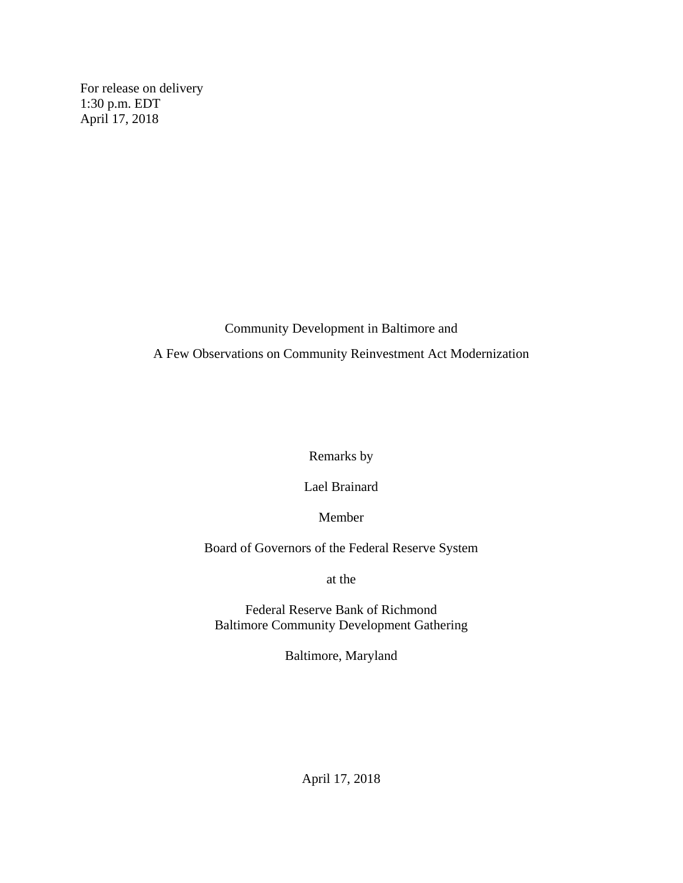For release on delivery 1:30 p.m. EDT April 17, 2018

Community Development in Baltimore and

A Few Observations on Community Reinvestment Act Modernization

Remarks by

Lael Brainard

Member

Board of Governors of the Federal Reserve System

at the

Federal Reserve Bank of Richmond Baltimore Community Development Gathering

Baltimore, Maryland

April 17, 2018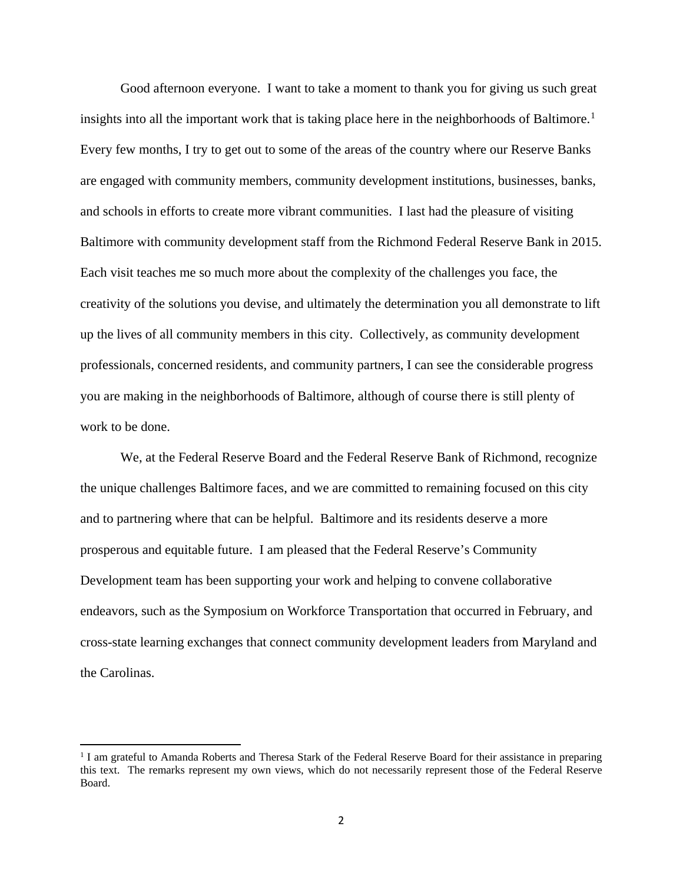Good afternoon everyone. I want to take a moment to thank you for giving us such great insights into all the important work that is taking place here in the neighborhoods of Baltimore. [1](#page-1-0) Every few months, I try to get out to some of the areas of the country where our Reserve Banks are engaged with community members, community development institutions, businesses, banks, and schools in efforts to create more vibrant communities. I last had the pleasure of visiting Baltimore with community development staff from the Richmond Federal Reserve Bank in 2015. Each visit teaches me so much more about the complexity of the challenges you face, the creativity of the solutions you devise, and ultimately the determination you all demonstrate to lift up the lives of all community members in this city. Collectively, as community development professionals, concerned residents, and community partners, I can see the considerable progress you are making in the neighborhoods of Baltimore, although of course there is still plenty of work to be done.

We, at the Federal Reserve Board and the Federal Reserve Bank of Richmond, recognize the unique challenges Baltimore faces, and we are committed to remaining focused on this city and to partnering where that can be helpful. Baltimore and its residents deserve a more prosperous and equitable future. I am pleased that the Federal Reserve's Community Development team has been supporting your work and helping to convene collaborative endeavors, such as the Symposium on Workforce Transportation that occurred in February, and cross-state learning exchanges that connect community development leaders from Maryland and the Carolinas.

 $\overline{\phantom{a}}$ 

<span id="page-1-0"></span><sup>&</sup>lt;sup>1</sup> I am grateful to Amanda Roberts and Theresa Stark of the Federal Reserve Board for their assistance in preparing this text. The remarks represent my own views, which do not necessarily represent those of the Federal Reserve Board.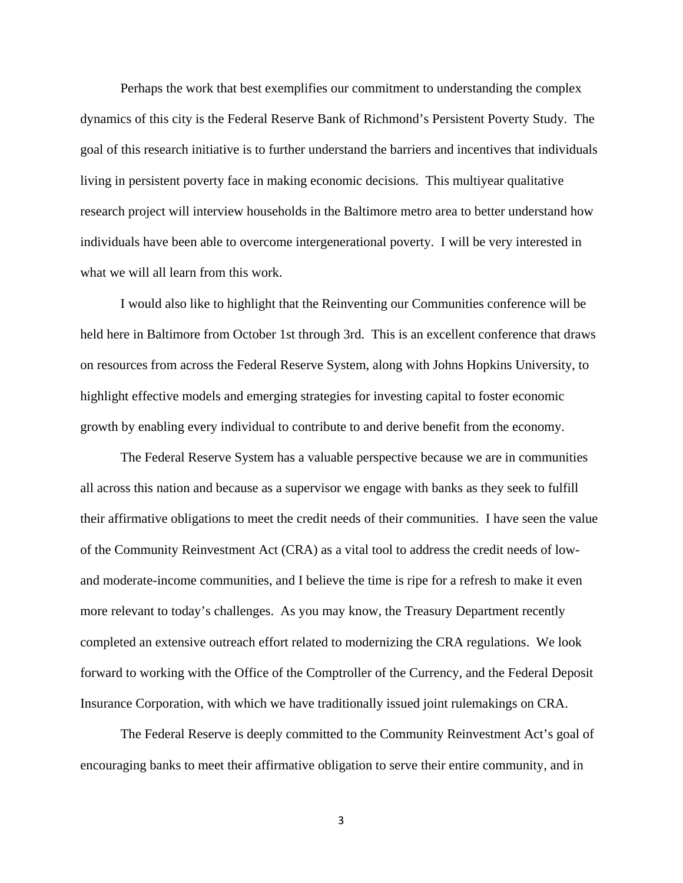Perhaps the work that best exemplifies our commitment to understanding the complex dynamics of this city is the Federal Reserve Bank of Richmond's Persistent Poverty Study. The goal of this research initiative is to further understand the barriers and incentives that individuals living in persistent poverty face in making economic decisions. This multiyear qualitative research project will interview households in the Baltimore metro area to better understand how individuals have been able to overcome intergenerational poverty. I will be very interested in what we will all learn from this work.

I would also like to highlight that the Reinventing our Communities conference will be held here in Baltimore from October 1st through 3rd. This is an excellent conference that draws on resources from across the Federal Reserve System, along with Johns Hopkins University, to highlight effective models and emerging strategies for investing capital to foster economic growth by enabling every individual to contribute to and derive benefit from the economy.

The Federal Reserve System has a valuable perspective because we are in communities all across this nation and because as a supervisor we engage with banks as they seek to fulfill their affirmative obligations to meet the credit needs of their communities. I have seen the value of the Community Reinvestment Act (CRA) as a vital tool to address the credit needs of lowand moderate-income communities, and I believe the time is ripe for a refresh to make it even more relevant to today's challenges. As you may know, the Treasury Department recently completed an extensive outreach effort related to modernizing the CRA regulations. We look forward to working with the Office of the Comptroller of the Currency, and the Federal Deposit Insurance Corporation, with which we have traditionally issued joint rulemakings on CRA.

The Federal Reserve is deeply committed to the Community Reinvestment Act's goal of encouraging banks to meet their affirmative obligation to serve their entire community, and in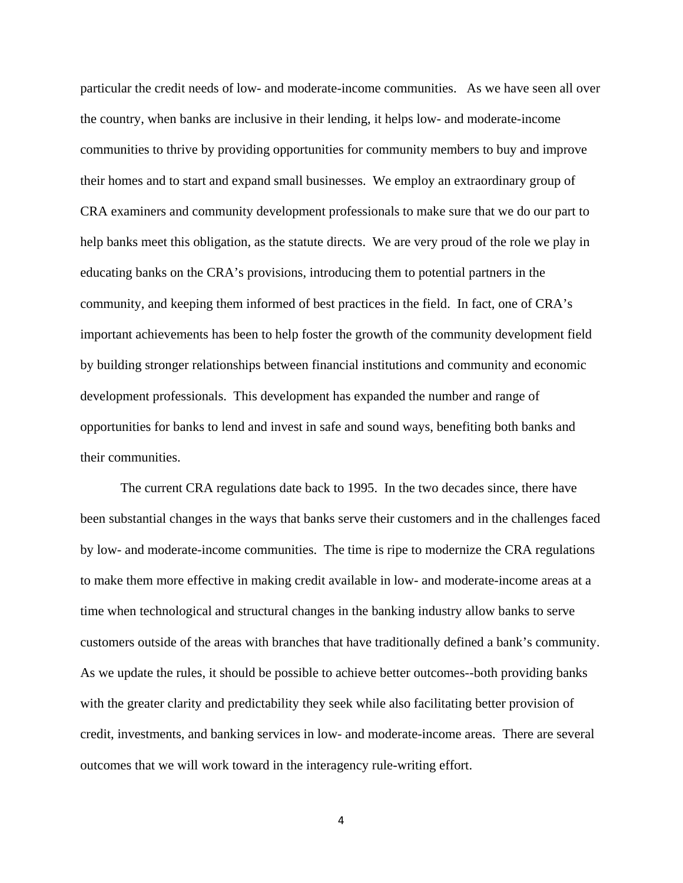particular the credit needs of low- and moderate-income communities. As we have seen all over the country, when banks are inclusive in their lending, it helps low- and moderate-income communities to thrive by providing opportunities for community members to buy and improve their homes and to start and expand small businesses. We employ an extraordinary group of CRA examiners and community development professionals to make sure that we do our part to help banks meet this obligation, as the statute directs. We are very proud of the role we play in educating banks on the CRA's provisions, introducing them to potential partners in the community, and keeping them informed of best practices in the field. In fact, one of CRA's important achievements has been to help foster the growth of the community development field by building stronger relationships between financial institutions and community and economic development professionals. This development has expanded the number and range of opportunities for banks to lend and invest in safe and sound ways, benefiting both banks and their communities.

The current CRA regulations date back to 1995. In the two decades since, there have been substantial changes in the ways that banks serve their customers and in the challenges faced by low- and moderate-income communities. The time is ripe to modernize the CRA regulations to make them more effective in making credit available in low- and moderate-income areas at a time when technological and structural changes in the banking industry allow banks to serve customers outside of the areas with branches that have traditionally defined a bank's community. As we update the rules, it should be possible to achieve better outcomes--both providing banks with the greater clarity and predictability they seek while also facilitating better provision of credit, investments, and banking services in low- and moderate-income areas. There are several outcomes that we will work toward in the interagency rule-writing effort.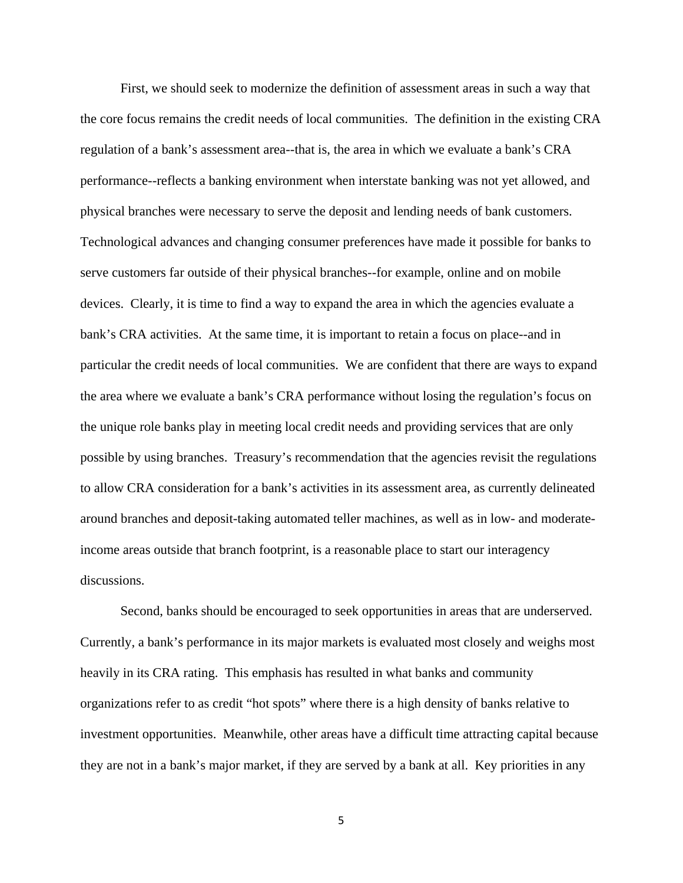First, we should seek to modernize the definition of assessment areas in such a way that the core focus remains the credit needs of local communities. The definition in the existing CRA regulation of a bank's assessment area--that is, the area in which we evaluate a bank's CRA performance--reflects a banking environment when interstate banking was not yet allowed, and physical branches were necessary to serve the deposit and lending needs of bank customers. Technological advances and changing consumer preferences have made it possible for banks to serve customers far outside of their physical branches--for example, online and on mobile devices. Clearly, it is time to find a way to expand the area in which the agencies evaluate a bank's CRA activities. At the same time, it is important to retain a focus on place--and in particular the credit needs of local communities. We are confident that there are ways to expand the area where we evaluate a bank's CRA performance without losing the regulation's focus on the unique role banks play in meeting local credit needs and providing services that are only possible by using branches. Treasury's recommendation that the agencies revisit the regulations to allow CRA consideration for a bank's activities in its assessment area, as currently delineated around branches and deposit-taking automated teller machines, as well as in low- and moderateincome areas outside that branch footprint, is a reasonable place to start our interagency discussions.

Second, banks should be encouraged to seek opportunities in areas that are underserved. Currently, a bank's performance in its major markets is evaluated most closely and weighs most heavily in its CRA rating. This emphasis has resulted in what banks and community organizations refer to as credit "hot spots" where there is a high density of banks relative to investment opportunities. Meanwhile, other areas have a difficult time attracting capital because they are not in a bank's major market, if they are served by a bank at all. Key priorities in any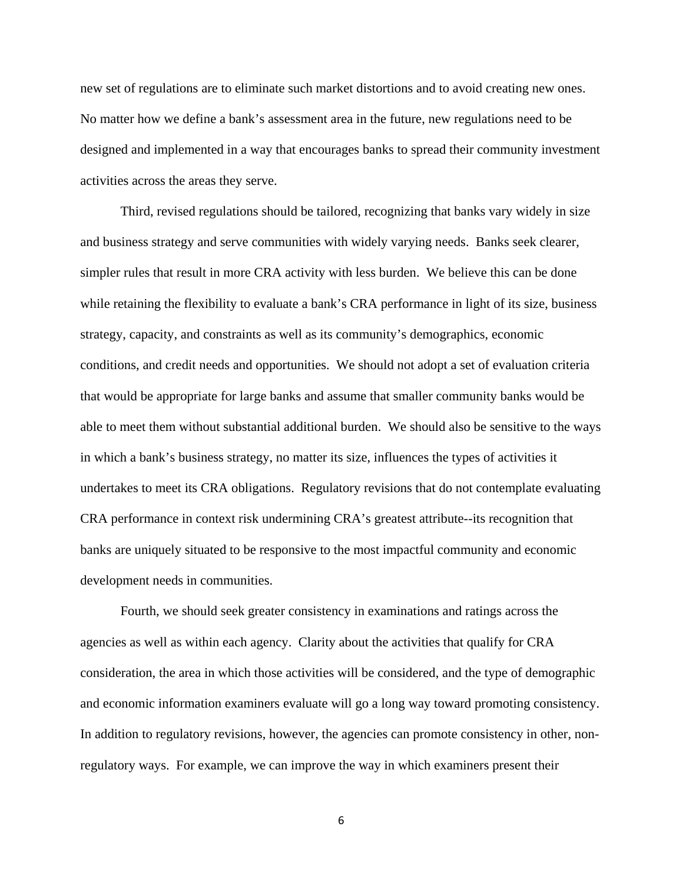new set of regulations are to eliminate such market distortions and to avoid creating new ones. No matter how we define a bank's assessment area in the future, new regulations need to be designed and implemented in a way that encourages banks to spread their community investment activities across the areas they serve.

Third, revised regulations should be tailored, recognizing that banks vary widely in size and business strategy and serve communities with widely varying needs. Banks seek clearer, simpler rules that result in more CRA activity with less burden. We believe this can be done while retaining the flexibility to evaluate a bank's CRA performance in light of its size, business strategy, capacity, and constraints as well as its community's demographics, economic conditions, and credit needs and opportunities. We should not adopt a set of evaluation criteria that would be appropriate for large banks and assume that smaller community banks would be able to meet them without substantial additional burden. We should also be sensitive to the ways in which a bank's business strategy, no matter its size, influences the types of activities it undertakes to meet its CRA obligations. Regulatory revisions that do not contemplate evaluating CRA performance in context risk undermining CRA's greatest attribute--its recognition that banks are uniquely situated to be responsive to the most impactful community and economic development needs in communities.

Fourth, we should seek greater consistency in examinations and ratings across the agencies as well as within each agency. Clarity about the activities that qualify for CRA consideration, the area in which those activities will be considered, and the type of demographic and economic information examiners evaluate will go a long way toward promoting consistency. In addition to regulatory revisions, however, the agencies can promote consistency in other, nonregulatory ways. For example, we can improve the way in which examiners present their